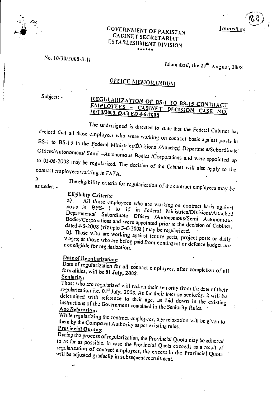**Immediate** 

 $\mathcal{E}$ 

• ;

## GOVERNMENT OF PAKISTAN CABINET SECRETARIAT ESTABLISHMENT DIVISION

### No. 10/30/2008-R-11

# Islamabad, the 29" August, 2003

# **OFFICE MEMORANDUM**

Subject: -

### REGULARIZATION OF BS-1 TO BS-15 CONTRACT EMPLOYEES - CABINET DECISION CASE 76/10/2003 DATED 4-6-2003

The undersigned is directed to state that the Federal Cabinet has decided that all those employees who were working on contract basis against posts in BS-1 to BS-15 in the Federal Ministries/Divisions /Attached Department/Subordinate' Offices/Autonomous/ Semi —Autonomous Bodies. /Corporations and were appointed up to 03-06-2003 may be regularized. The decision of the Cabinet till also apply to the contract employees working in FA TA.

 $2<sub>1</sub>$ 

as under: -

The eligibility criteria for regularization of the contract employees may be

# Eligibility Criteria:<br>a) All those en

All those employees who are working on contract basis against posts in BPS- 1 to 15 in Federal Nlinistries'Divisions/Attached Departments/ Subordinate Offices /Autonomous/Semi Autonomous Bodies'Corporations and were appointed prior to the decision of Cabinet. *dated* 4-6-2003 (viz upto 3-6-2003) may be regularized. -

b). Those who are working against tenure posts, project posts or daily wages; or those who are being paid front cuntin;ent or defence budget are *not eligible* for regularization.

# Date of Regularization:

Date of regularization for all contract employees, after completion of all formalities, will be 01 July, 2003. Senioritv:

Those who are regularized will reckon their sen ority from the date of their regularization i.e. 01<sup>st</sup> July, 2008. As far their inter-se seniority, it will be determined with reference to their age, as laid down in the existing. instructions of the Government contained in the Seniority Rules.

Whil**e regularizing the contract employees**, age relaxation will be given to the contract the contract of the contract of the contract of the contract of the contract of the contract of the contract of the contract of the them by the Competent Authority as per existing rules. Provincial Quotas:

During the process of regularization, the Provincial Quota may be adhered to as far as possible. In case the Provincial Quota exceeds as a result of regularization of contract employees, the excess in the Provincial Quota will be adjusted gradually in subsequent recruitment.